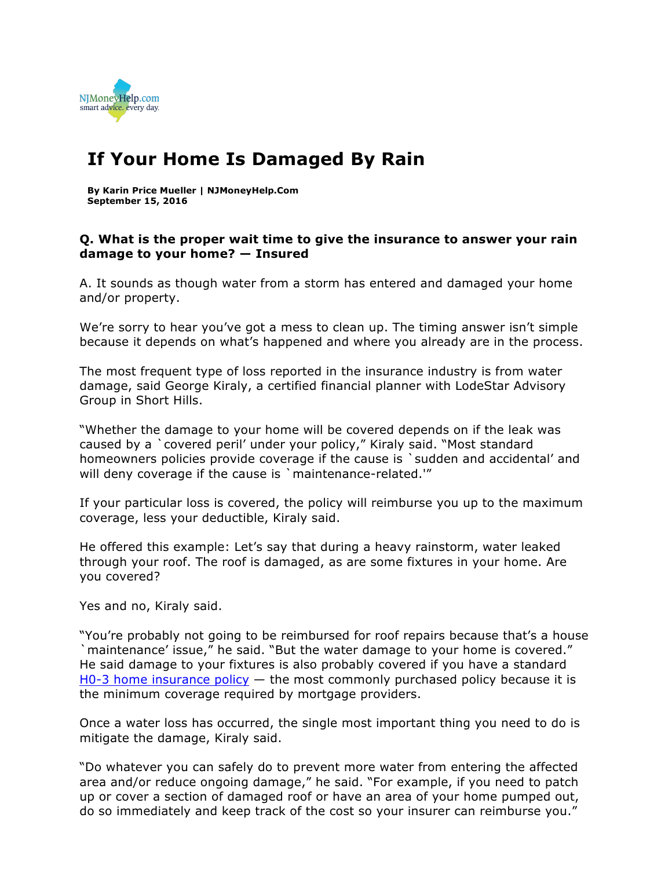

## **If Your Home Is Damaged By Rain**

**By Karin Price Mueller | NJMoneyHelp.Com September 15, 2016**

## **Q. What is the proper wait time to give the insurance to answer your rain damage to your home? — Insured**

A. It sounds as though water from a storm has entered and damaged your home and/or property.

We're sorry to hear you've got a mess to clean up. The timing answer isn't simple because it depends on what's happened and where you already are in the process.

The most frequent type of loss reported in the insurance industry is from water damage, said George Kiraly, a certified financial planner with LodeStar Advisory Group in Short Hills.

"Whether the damage to your home will be covered depends on if the leak was caused by a `covered peril' under your policy," Kiraly said. "Most standard homeowners policies provide coverage if the cause is `sudden and accidental' and will deny coverage if the cause is `maintenance-related.'"

If your particular loss is covered, the policy will reimburse you up to the maximum coverage, less your deductible, Kiraly said.

He offered this example: Let's say that during a heavy rainstorm, water leaked through your roof. The roof is damaged, as are some fixtures in your home. Are you covered?

Yes and no, Kiraly said.

"You're probably not going to be reimbursed for roof repairs because that's a house `maintenance' issue," he said. "But the water damage to your home is covered." He said damage to your fixtures is also probably covered if you have a standard H0-3 home insurance policy — the most commonly purchased policy because it is the minimum coverage required by mortgage providers.

Once a water loss has occurred, the single most important thing you need to do is mitigate the damage, Kiraly said.

"Do whatever you can safely do to prevent more water from entering the affected area and/or reduce ongoing damage," he said. "For example, if you need to patch up or cover a section of damaged roof or have an area of your home pumped out, do so immediately and keep track of the cost so your insurer can reimburse you."